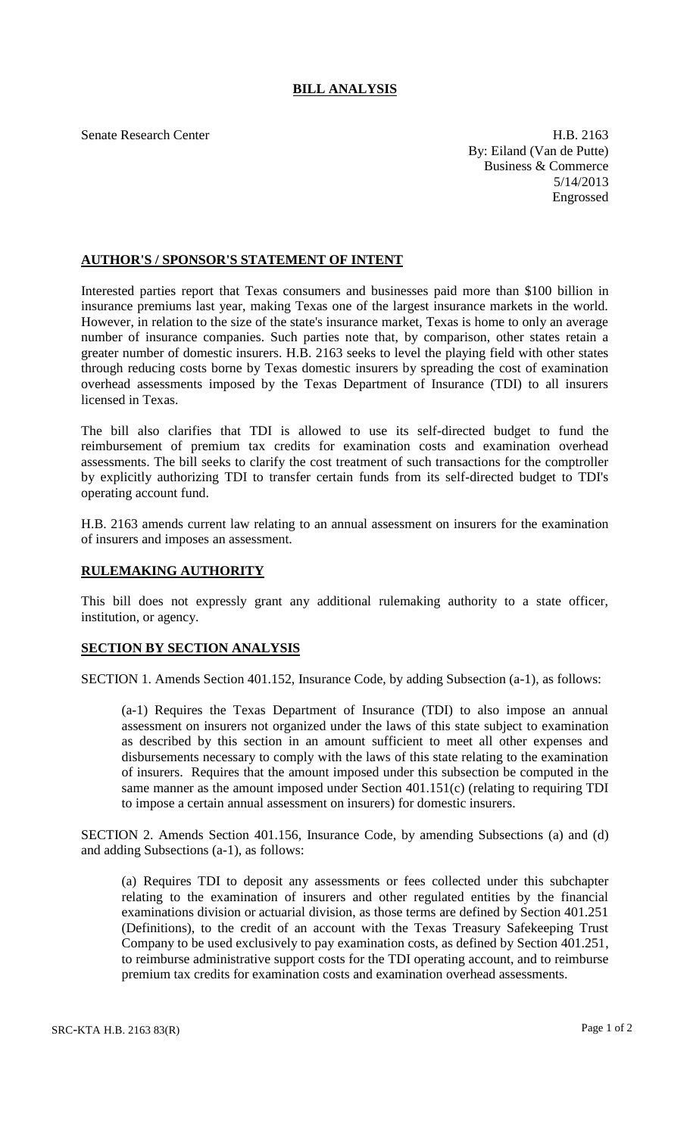## **BILL ANALYSIS**

Senate Research Center **H.B. 2163** By: Eiland (Van de Putte) Business & Commerce 5/14/2013 Engrossed

## **AUTHOR'S / SPONSOR'S STATEMENT OF INTENT**

Interested parties report that Texas consumers and businesses paid more than \$100 billion in insurance premiums last year, making Texas one of the largest insurance markets in the world. However, in relation to the size of the state's insurance market, Texas is home to only an average number of insurance companies. Such parties note that, by comparison, other states retain a greater number of domestic insurers. H.B. 2163 seeks to level the playing field with other states through reducing costs borne by Texas domestic insurers by spreading the cost of examination overhead assessments imposed by the Texas Department of Insurance (TDI) to all insurers licensed in Texas.

The bill also clarifies that TDI is allowed to use its self-directed budget to fund the reimbursement of premium tax credits for examination costs and examination overhead assessments. The bill seeks to clarify the cost treatment of such transactions for the comptroller by explicitly authorizing TDI to transfer certain funds from its self-directed budget to TDI's operating account fund.

H.B. 2163 amends current law relating to an annual assessment on insurers for the examination of insurers and imposes an assessment.

## **RULEMAKING AUTHORITY**

This bill does not expressly grant any additional rulemaking authority to a state officer, institution, or agency.

## **SECTION BY SECTION ANALYSIS**

SECTION 1. Amends Section 401.152, Insurance Code, by adding Subsection (a-1), as follows:

(a-1) Requires the Texas Department of Insurance (TDI) to also impose an annual assessment on insurers not organized under the laws of this state subject to examination as described by this section in an amount sufficient to meet all other expenses and disbursements necessary to comply with the laws of this state relating to the examination of insurers. Requires that the amount imposed under this subsection be computed in the same manner as the amount imposed under Section 401.151(c) (relating to requiring TDI to impose a certain annual assessment on insurers) for domestic insurers.

SECTION 2. Amends Section 401.156, Insurance Code, by amending Subsections (a) and (d) and adding Subsections (a-1), as follows:

(a) Requires TDI to deposit any assessments or fees collected under this subchapter relating to the examination of insurers and other regulated entities by the financial examinations division or actuarial division, as those terms are defined by Section 401.251 (Definitions), to the credit of an account with the Texas Treasury Safekeeping Trust Company to be used exclusively to pay examination costs, as defined by Section 401.251, to reimburse administrative support costs for the TDI operating account, and to reimburse premium tax credits for examination costs and examination overhead assessments.